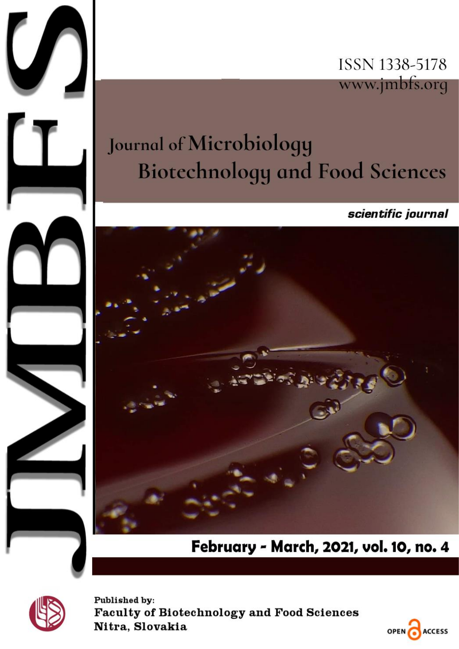

# **Journal of Microbiology Biotechnology and Food Sciences**

scientific journal



February - March, 2021, vol. 10, no. 4



 $\bigcup$ 

Published by: **Faculty of Biotechnology and Food Sciences** Nitra, Slovakia